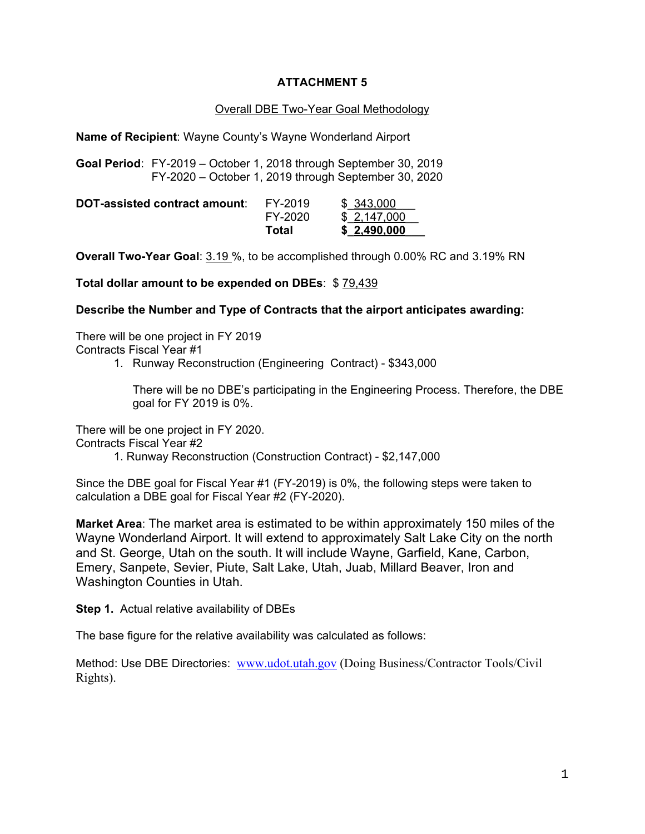# **ATTACHMENT 5**

### Overall DBE Two-Year Goal Methodology

**Name of Recipient**: Wayne County's Wayne Wonderland Airport

**Goal Period**: FY-2019 – October 1, 2018 through September 30, 2019 FY-2020 – October 1, 2019 through September 30, 2020

|                               | Total   | \$2,490,000 |
|-------------------------------|---------|-------------|
|                               | FY-2020 | \$2,147,000 |
| DOT-assisted contract amount: | FY-2019 | \$343,000   |

**Overall Two-Year Goal**: 3.19 %, to be accomplished through 0.00% RC and 3.19% RN

**Total dollar amount to be expended on DBEs**: \$ 79,439

**Describe the Number and Type of Contracts that the airport anticipates awarding:**

There will be one project in FY 2019 Contracts Fiscal Year #1

1. Runway Reconstruction (Engineering Contract) - \$343,000

There will be no DBE's participating in the Engineering Process. Therefore, the DBE goal for FY 2019 is 0%.

There will be one project in FY 2020.

Contracts Fiscal Year #2

1. Runway Reconstruction (Construction Contract) - \$2,147,000

Since the DBE goal for Fiscal Year #1 (FY-2019) is 0%, the following steps were taken to calculation a DBE goal for Fiscal Year #2 (FY-2020).

**Market Area**: The market area is estimated to be within approximately 150 miles of the Wayne Wonderland Airport. It will extend to approximately Salt Lake City on the north and St. George, Utah on the south. It will include Wayne, Garfield, Kane, Carbon, Emery, Sanpete, Sevier, Piute, Salt Lake, Utah, Juab, Millard Beaver, Iron and Washington Counties in Utah.

**Step 1.** Actual relative availability of DBEs

The base figure for the relative availability was calculated as follows:

Method: Use DBE Directories: www.udot.utah.gov (Doing Business/Contractor Tools/Civil Rights).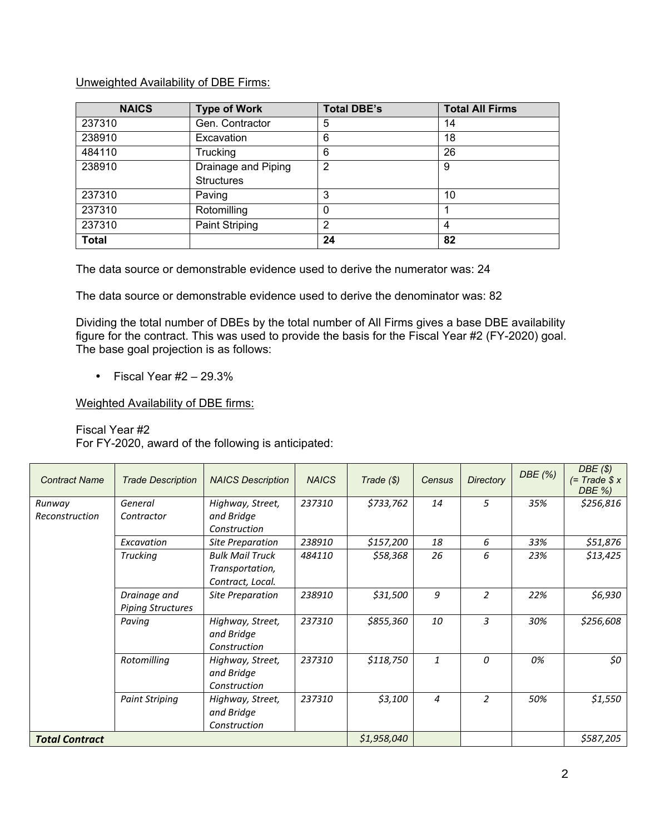## Unweighted Availability of DBE Firms:

| <b>NAICS</b> | <b>Type of Work</b>   | <b>Total DBE's</b> | <b>Total All Firms</b> |
|--------------|-----------------------|--------------------|------------------------|
| 237310       | Gen. Contractor       | 5                  | 14                     |
| 238910       | Excavation            | 6                  | 18                     |
| 484110       | Trucking              | 6                  | 26                     |
| 238910       | Drainage and Piping   | $\overline{2}$     | 9                      |
|              | <b>Structures</b>     |                    |                        |
| 237310       | Paving                | 3                  | 10                     |
| 237310       | Rotomilling           |                    |                        |
| 237310       | <b>Paint Striping</b> | $\overline{2}$     | 4                      |
| <b>Total</b> |                       | 24                 | 82                     |

The data source or demonstrable evidence used to derive the numerator was: 24

The data source or demonstrable evidence used to derive the denominator was: 82

Dividing the total number of DBEs by the total number of All Firms gives a base DBE availability figure for the contract. This was used to provide the basis for the Fiscal Year #2 (FY-2020) goal. The base goal projection is as follows:

• Fiscal Year  $#2 - 29.3%$ 

Weighted Availability of DBE firms:

## Fiscal Year #2

For FY-2020, award of the following is anticipated:

| <b>Contract Name</b>     | <b>Trade Description</b>                 | <b>NAICS Description</b>                                      | <b>NAICS</b> | Trade $(\$)$ | Census | <b>Directory</b> | DBE (%)   | DBE(S)<br>$(= Trace \$ x<br>DBE %) |
|--------------------------|------------------------------------------|---------------------------------------------------------------|--------------|--------------|--------|------------------|-----------|------------------------------------|
| Runway<br>Reconstruction | General<br>Contractor                    | Highway, Street,<br>and Bridge<br>Construction                | 237310       | \$733,762    | 14     | 5                | 35%       | \$256,816                          |
|                          | Excavation                               | <b>Site Preparation</b>                                       | 238910       | \$157,200    | 18     | 6                | 33%       | \$51,876                           |
|                          | <b>Trucking</b>                          | <b>Bulk Mail Truck</b><br>Transportation,<br>Contract, Local. | 484110       | \$58,368     | 26     | 6                | 23%       | \$13,425                           |
|                          | Drainage and<br><b>Piping Structures</b> | <b>Site Preparation</b>                                       | 238910       | \$31,500     | 9      | 2                | 22%       | \$6,930                            |
|                          | Paving                                   | Highway, Street,<br>and Bridge<br>Construction                | 237310       | \$855,360    | 10     | 3                | 30%       | \$256,608                          |
|                          | Rotomilling                              | Highway, Street,<br>and Bridge<br>Construction                | 237310       | \$118,750    | 1      | 0                | 0%        | \$0                                |
|                          | <b>Paint Striping</b>                    | Highway, Street,<br>and Bridge<br>Construction                | 237310       | \$3,100      | 4      | $\overline{2}$   | 50%       | \$1,550                            |
| <b>Total Contract</b>    |                                          |                                                               | \$1,958,040  |              |        |                  | \$587,205 |                                    |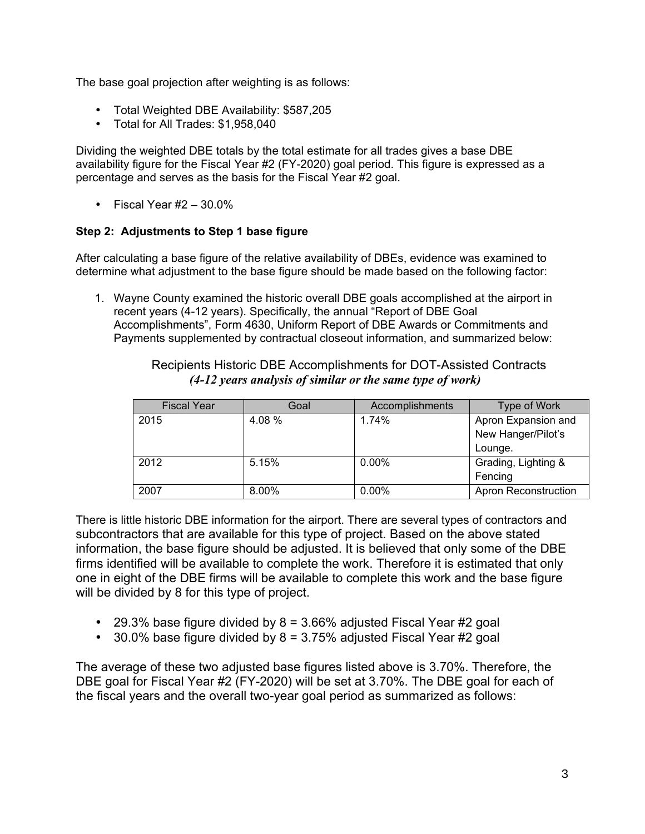The base goal projection after weighting is as follows:

- Total Weighted DBE Availability: \$587,205
- Total for All Trades: \$1,958,040

Dividing the weighted DBE totals by the total estimate for all trades gives a base DBE availability figure for the Fiscal Year #2 (FY-2020) goal period. This figure is expressed as a percentage and serves as the basis for the Fiscal Year #2 goal.

• Fiscal Year  $#2 - 30.0\%$ 

# **Step 2: Adjustments to Step 1 base figure**

After calculating a base figure of the relative availability of DBEs, evidence was examined to determine what adjustment to the base figure should be made based on the following factor:

1. Wayne County examined the historic overall DBE goals accomplished at the airport in recent years (4-12 years). Specifically, the annual "Report of DBE Goal Accomplishments", Form 4630, Uniform Report of DBE Awards or Commitments and Payments supplemented by contractual closeout information, and summarized below:

> Recipients Historic DBE Accomplishments for DOT-Assisted Contracts *(4-12 years analysis of similar or the same type of work)*

| <b>Fiscal Year</b> | Goal   | Accomplishments | Type of Work                |
|--------------------|--------|-----------------|-----------------------------|
| 2015               | 4.08 % | 1.74%           | Apron Expansion and         |
|                    |        |                 | New Hanger/Pilot's          |
|                    |        |                 | Lounge.                     |
| 2012               | 5.15%  | $0.00\%$        | Grading, Lighting &         |
|                    |        |                 | Fencing                     |
| 2007               | 8.00%  | $0.00\%$        | <b>Apron Reconstruction</b> |

There is little historic DBE information for the airport. There are several types of contractors and subcontractors that are available for this type of project. Based on the above stated information, the base figure should be adjusted. It is believed that only some of the DBE firms identified will be available to complete the work. Therefore it is estimated that only one in eight of the DBE firms will be available to complete this work and the base figure will be divided by 8 for this type of project.

- 29.3% base figure divided by  $8 = 3.66\%$  adjusted Fiscal Year #2 goal
- 30.0% base figure divided by  $8 = 3.75\%$  adjusted Fiscal Year #2 goal

The average of these two adjusted base figures listed above is 3.70%. Therefore, the DBE goal for Fiscal Year #2 (FY-2020) will be set at 3.70%. The DBE goal for each of the fiscal years and the overall two-year goal period as summarized as follows: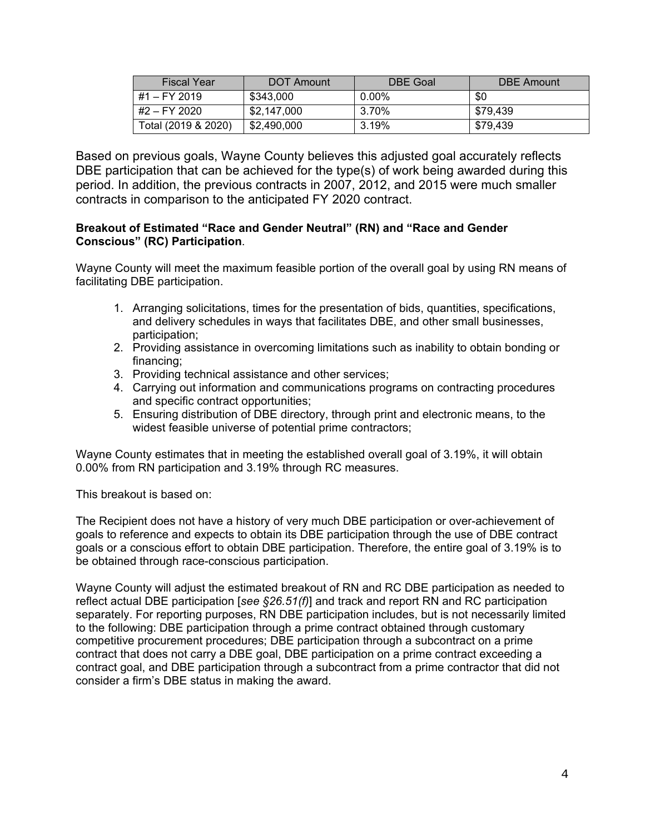| <b>Fiscal Year</b>  | DOT Amount  | DBE Goal | DBE Amount |
|---------------------|-------------|----------|------------|
| #1 – FY 2019        | \$343,000   | $0.00\%$ | \$0        |
| #2 – FY 2020        | \$2.147.000 | 3.70%    | \$79.439   |
| Total (2019 & 2020) | \$2,490,000 | 3.19%    | \$79.439   |

Based on previous goals, Wayne County believes this adjusted goal accurately reflects DBE participation that can be achieved for the type(s) of work being awarded during this period. In addition, the previous contracts in 2007, 2012, and 2015 were much smaller contracts in comparison to the anticipated FY 2020 contract.

## **Breakout of Estimated "Race and Gender Neutral" (RN) and "Race and Gender Conscious" (RC) Participation**.

Wayne County will meet the maximum feasible portion of the overall goal by using RN means of facilitating DBE participation.

- 1. Arranging solicitations, times for the presentation of bids, quantities, specifications, and delivery schedules in ways that facilitates DBE, and other small businesses, participation;
- 2. Providing assistance in overcoming limitations such as inability to obtain bonding or financing;
- 3. Providing technical assistance and other services;
- 4. Carrying out information and communications programs on contracting procedures and specific contract opportunities;
- 5. Ensuring distribution of DBE directory, through print and electronic means, to the widest feasible universe of potential prime contractors;

Wayne County estimates that in meeting the established overall goal of 3.19%, it will obtain 0.00% from RN participation and 3.19% through RC measures.

This breakout is based on:

The Recipient does not have a history of very much DBE participation or over-achievement of goals to reference and expects to obtain its DBE participation through the use of DBE contract goals or a conscious effort to obtain DBE participation. Therefore, the entire goal of 3.19% is to be obtained through race-conscious participation.

Wayne County will adjust the estimated breakout of RN and RC DBE participation as needed to reflect actual DBE participation [*see §26.51(f)*] and track and report RN and RC participation separately. For reporting purposes, RN DBE participation includes, but is not necessarily limited to the following: DBE participation through a prime contract obtained through customary competitive procurement procedures; DBE participation through a subcontract on a prime contract that does not carry a DBE goal, DBE participation on a prime contract exceeding a contract goal, and DBE participation through a subcontract from a prime contractor that did not consider a firm's DBE status in making the award.